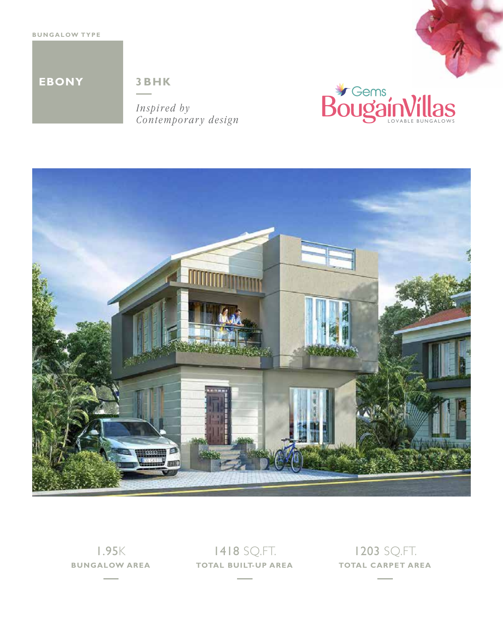

*Inspired by Contemporary design*







1.95K

**BUNGALOW AREA TOTAL BUILT-UP AREA TOTAL CARPET AREA**1418 SQ.FT.

1203 SQ.FT.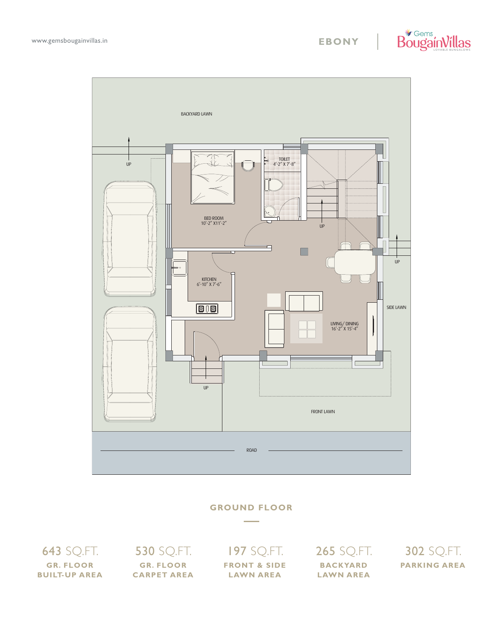



#### **GROUND FLOOR**

643 SQ.FT. **GR. FLOOR BUILT-UP AREA** **530 SQ.FT. GR. FLOOR CARPET AREA**

# 197 SQ.FT. **FRONT & SIDE**

**LAWN AREA**

265 SQ.FT. **BACKYARD LAWN AREA**

302 SQ.FT. **PARKING AREA**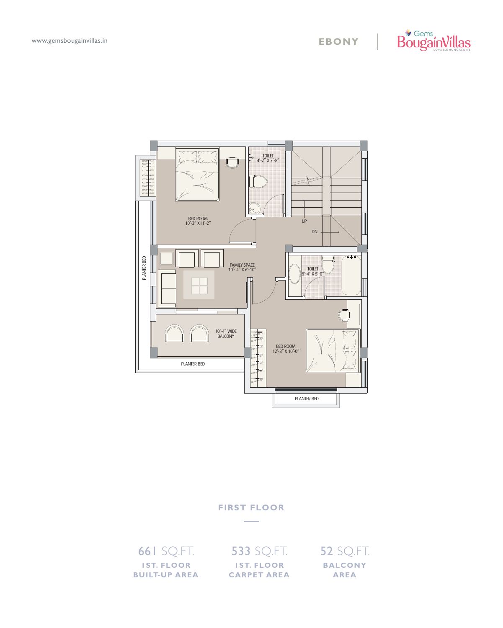



#### **FIRST FLOOR**

661 SQ.FT. **1ST. FLOOR BUILT-UP AREA** 533 SQ.FT. **1ST. FLOOR CARPET AREA** 52 SQ.FT. **BALCONY AREA**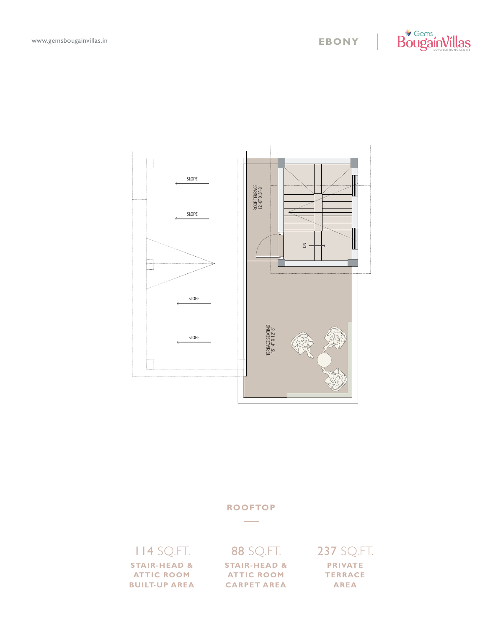





# 114 SQ.FT. **STAIR-HEAD &**

**ATTIC ROOM BUILT-UP AREA**

## 88 SQ.FT.

**STAIR-HEAD & ATTIC ROOM CARPET AREA**

### 237 SQ.FT. **PRIVATE TERRACE**

**AREA**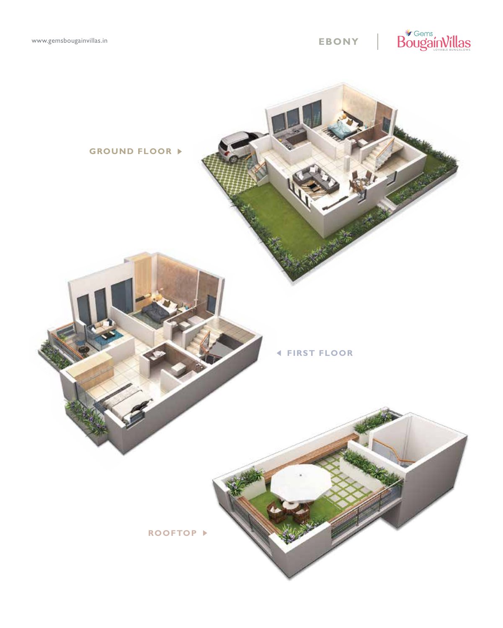www.gemsbougainvillas.in

# **EBONY | BougainVillas**



**FIRST FLOOR**

**ROOFTOP**